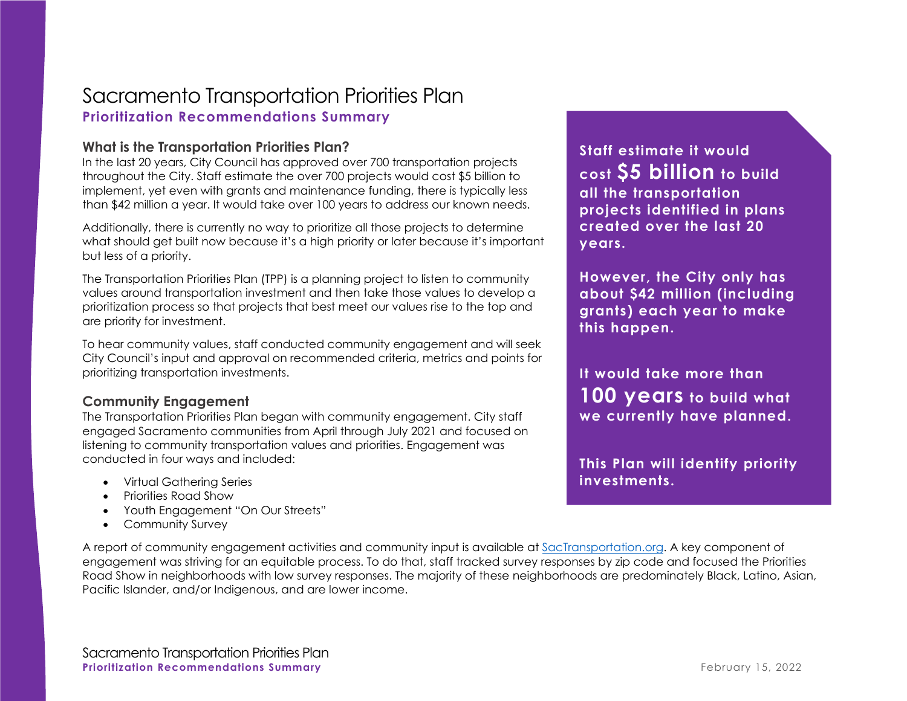# Sacramento Transportation Priorities Plan **Prioritization Recommendations Summary**

### **What is the Transportation Priorities Plan?**

In the last 20 years, City Council has approved over 700 transportation projects throughout the City. Staff estimate the over 700 projects would cost \$5 billion to implement, yet even with grants and maintenance funding, there is typically less than \$42 million a year. It would take over 100 years to address our known needs.

Additionally, there is currently no way to prioritize all those projects to determine what should get built now because it's a high priority or later because it's important but less of a priority.

The Transportation Priorities Plan (TPP) is a planning project to listen to community values around transportation investment and then take those values to develop a prioritization process so that projects that best meet our values rise to the top and are priority for investment.

To hear community values, staff conducted community engagement and will seek City Council's input and approval on recommended criteria, metrics and points for prioritizing transportation investments.

#### **Community Engagement**

The Transportation Priorities Plan began with community engagement. City staff engaged Sacramento communities from April through July 2021 and focused on listening to community transportation values and priorities. Engagement was conducted in four ways and included:

- Virtual Gathering Series
- Priorities Road Show
- Youth Engagement "On Our Streets"
- Community Survey

**Staff estimate it would cost \$5 billion to build all the transportation projects identified in plans created over the last 20 years.**

**However, the City only has about \$42 million (including grants) each year to make this happen.**

**It would take more than 100 years to build what we currently have planned.**

**This Plan will identify priority investments.** 

A report of community engagement activities and community input is available at [SacTransportation.org.](http://www.cityofsacramento.org/Public-Works/Transportation/Planning-Projects/Transportation-Priorities-Plan) A key component of engagement was striving for an equitable process. To do that, staff tracked survey responses by zip code and focused the Priorities Road Show in neighborhoods with low survey responses. The majority of these neighborhoods are predominately Black, Latino, Asian, Pacific Islander, and/or Indigenous, and are lower income.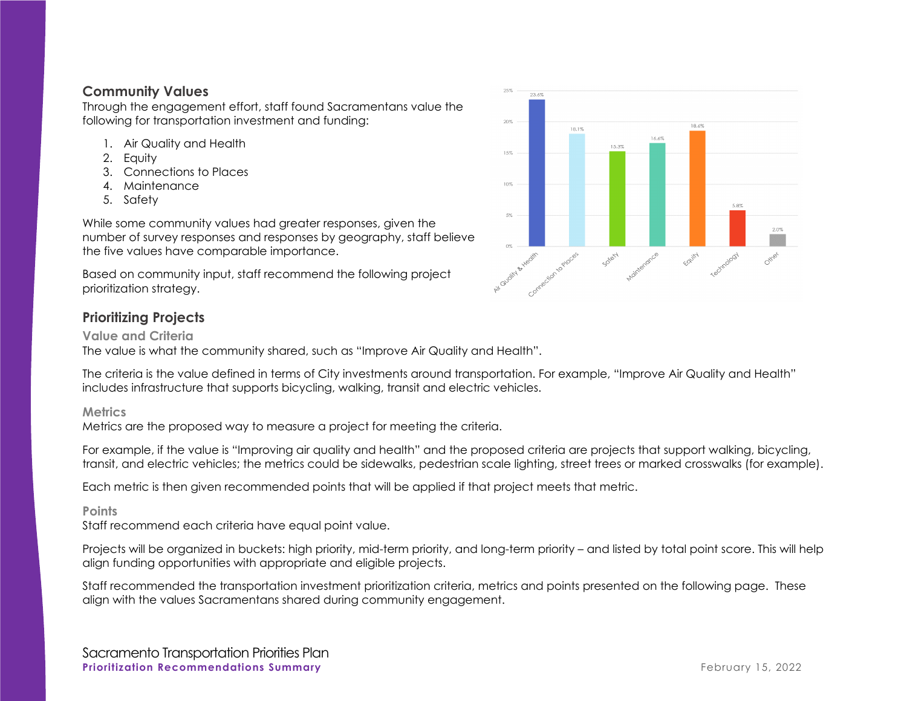#### **Community Values**

Through the engagement effort, staff found Sacramentans value the following for transportation investment and funding:

- 1. Air Quality and Health
- 2. Equity
- 3. Connections to Places
- 4. Maintenance
- 5. Safety

While some community values had greater responses, given the number of survey responses and responses by geography, staff believe the five values have comparable importance.

Based on community input, staff recommend the following project prioritization strategy.



### **Prioritizing Projects**

#### **Value and Criteria**

The value is what the community shared, such as "Improve Air Quality and Health".

The criteria is the value defined in terms of City investments around transportation. For example, "Improve Air Quality and Health" includes infrastructure that supports bicycling, walking, transit and electric vehicles.

#### **Metrics**

Metrics are the proposed way to measure a project for meeting the criteria.

For example, if the value is "Improving air quality and health" and the proposed criteria are projects that support walking, bicycling, transit, and electric vehicles; the metrics could be sidewalks, pedestrian scale lighting, street trees or marked crosswalks (for example).

Each metric is then given recommended points that will be applied if that project meets that metric.

#### **Points**

Staff recommend each criteria have equal point value.

Projects will be organized in buckets: high priority, mid-term priority, and long-term priority – and listed by total point score. This will help align funding opportunities with appropriate and eligible projects.

Staff recommended the transportation investment prioritization criteria, metrics and points presented on the following page. These align with the values Sacramentans shared during community engagement.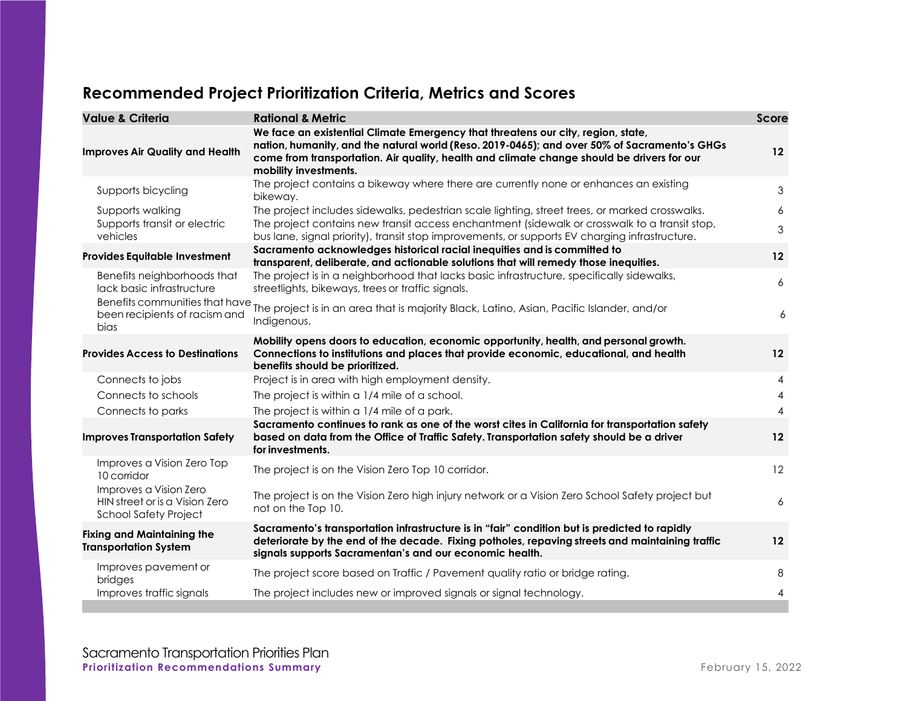# **Recommended Project Prioritization Criteria, Metrics and Scores**

| <b>Value &amp; Criteria</b>                                                              | <b>Rational &amp; Metric</b>                                                                                                                                                                                                                                                                            | <b>Score</b> |
|------------------------------------------------------------------------------------------|---------------------------------------------------------------------------------------------------------------------------------------------------------------------------------------------------------------------------------------------------------------------------------------------------------|--------------|
| <b>Improves Air Quality and Health</b>                                                   | We face an existential Climate Emergency that threatens our city, region, state,<br>nation, humanity, and the natural world (Reso. 2019-0465); and over 50% of Sacramento's GHGs<br>come from transportation. Air quality, health and climate change should be drivers for our<br>mobility investments. | 12           |
| Supports bicycling                                                                       | The project contains a bikeway where there are currently none or enhances an existing<br>bikeway.                                                                                                                                                                                                       | 3            |
| Supports walking                                                                         | The project includes sidewalks, pedestrian scale lighting, street trees, or marked crosswalks.                                                                                                                                                                                                          | 6            |
| Supports transit or electric<br>vehicles                                                 | The project contains new transit access enchantment (sidewalk or crosswalk to a transit stop,<br>bus lane, signal priority), transit stop improvements, or supports EV charging infrastructure.                                                                                                         | 3            |
| <b>Provides Equitable Investment</b>                                                     | Sacramento acknowledges historical racial inequities and is committed to<br>transparent, deliberate, and actionable solutions that will remedy those inequities.                                                                                                                                        | $12 \,$      |
| Benefits neighborhoods that<br>lack basic infrastructure                                 | The project is in a neighborhood that lacks basic infrastructure, specifically sidewalks,<br>streetlights, bikeways, trees or traffic signals.                                                                                                                                                          | 6            |
| Benefits communities that have<br>been recipients of racism and<br>bias                  | The project is in an area that is majority Black, Latino, Asian, Pacific Islander, and/or<br>Indigenous.                                                                                                                                                                                                | 6            |
| <b>Provides Access to Destinations</b>                                                   | Mobility opens doors to education, economic opportunity, health, and personal growth.<br>Connections to institutions and places that provide economic, educational, and health<br>benefits should be prioritized.                                                                                       | 12           |
| Connects to jobs                                                                         | Project is in area with high employment density.                                                                                                                                                                                                                                                        |              |
| Connects to schools                                                                      | The project is within a 1/4 mile of a school.                                                                                                                                                                                                                                                           |              |
| Connects to parks                                                                        | The project is within a 1/4 mile of a park.                                                                                                                                                                                                                                                             |              |
| <b>Improves Transportation Safety</b>                                                    | Sacramento continues to rank as one of the worst cites in California for transportation safety<br>based on data from the Office of Traffic Safety. Transportation safety should be a driver<br>for investments.                                                                                         | 12           |
| Improves a Vision Zero Top<br>10 corridor                                                | The project is on the Vision Zero Top 10 corridor.                                                                                                                                                                                                                                                      | 12           |
| Improves a Vision Zero<br>HIN street or is a Vision Zero<br><b>School Safety Project</b> | The project is on the Vision Zero high injury network or a Vision Zero School Safety project but<br>not on the Top 10.                                                                                                                                                                                  |              |
| <b>Fixing and Maintaining the</b><br><b>Transportation System</b>                        | Sacramento's transportation infrastructure is in "fair" condition but is predicted to rapidly<br>deteriorate by the end of the decade. Fixing potholes, repaving streets and maintaining traffic<br>signals supports Sacramentan's and our economic health.                                             | $12 \,$      |
| Improves pavement or<br>bridges                                                          | The project score based on Traffic / Pavement quality ratio or bridge rating.                                                                                                                                                                                                                           | 8            |
| Improves traffic signals                                                                 | The project includes new or improved signals or signal technology.                                                                                                                                                                                                                                      |              |
|                                                                                          |                                                                                                                                                                                                                                                                                                         |              |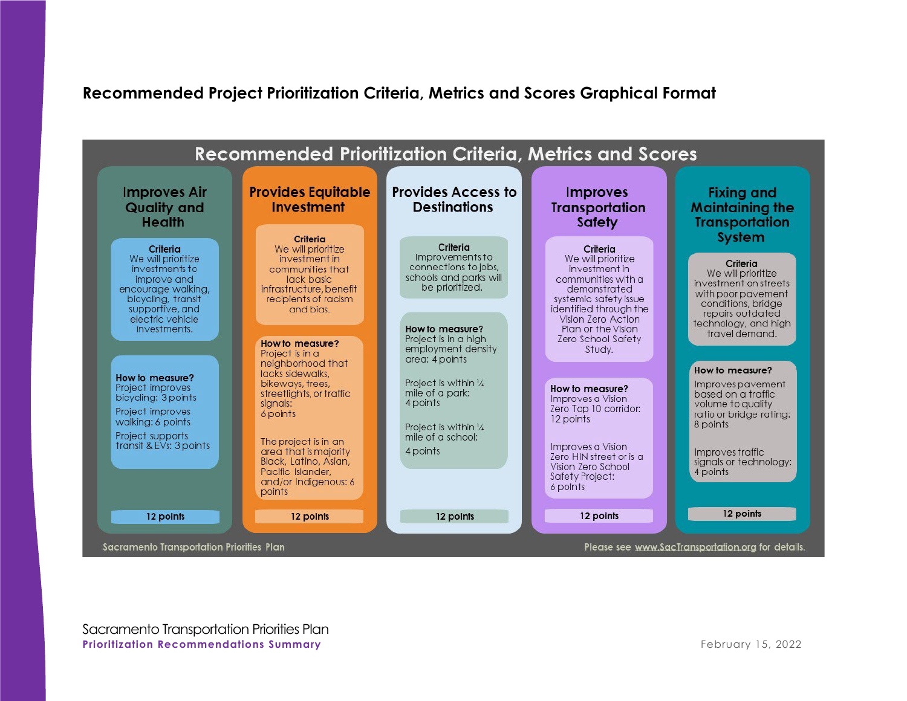# **Recommended Project Prioritization Criteria, Metrics and Scores Graphical Format**



Sacramento Transportation Priorities Plan **Prioritization Recommendations Summary** *February 15, 2022* **February 15, 2022**